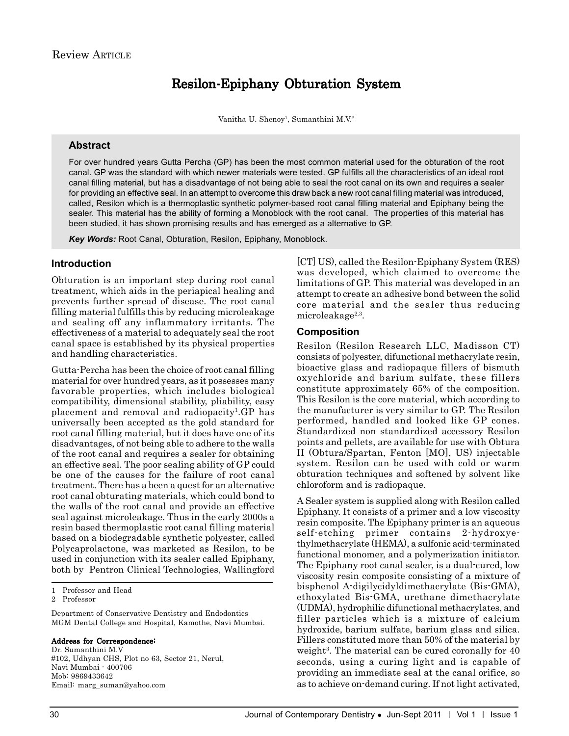# Resilon-Epiphany Obturation System

Vanitha U. Shenoy<sup>1</sup>, Sumanthini M.V.<sup>2</sup>

## **Abstract**

For over hundred years Gutta Percha (GP) has been the most common material used for the obturation of the root canal. GP was the standard with which newer materials were tested. GP fulfills all the characteristics of an ideal root canal filling material, but has a disadvantage of not being able to seal the root canal on its own and requires a sealer for providing an effective seal. In an attempt to overcome this draw back a new root canal filling material was introduced, called, Resilon which is a thermoplastic synthetic polymer-based root canal filling material and Epiphany being the sealer. This material has the ability of forming a Monoblock with the root canal. The properties of this material has been studied, it has shown promising results and has emerged as a alternative to GP.

*Key Words:* Root Canal, Obturation, Resilon, Epiphany, Monoblock.

## **Introduction**

Obturation is an important step during root canal treatment, which aids in the periapical healing and prevents further spread of disease. The root canal filling material fulfills this by reducing microleakage and sealing off any inflammatory irritants. The effectiveness of a material to adequately seal the root canal space is established by its physical properties and handling characteristics.

Gutta-Percha has been the choice of root canal filling material for over hundred years, as it possesses many favorable properties, which includes biological compatibility, dimensional stability, pliability, easy placement and removal and radiopacity<sup>1</sup>.GP has universally been accepted as the gold standard for root canal filling material, but it does have one of its disadvantages, of not being able to adhere to the walls of the root canal and requires a sealer for obtaining an effective seal. The poor sealing ability of GP could be one of the causes for the failure of root canal treatment. There has a been a quest for an alternative root canal obturating materials, which could bond to the walls of the root canal and provide an effective seal against microleakage. Thus in the early 2000s a resin based thermoplastic root canal filling material based on a biodegradable synthetic polyester, called Polycaprolactone, was marketed as Resilon, to be used in conjunction with its sealer called Epiphany, both by Pentron Clinical Technologies, Wallingford

Department of Conservative Dentistry and Endodontics MGM Dental College and Hospital, Kamothe, Navi Mumbai.

#### Address for Correspondence:

Dr. Sumanthini M.V #102, Udhyan CHS, Plot no 63, Sector 21, Nerul, Navi Mumbai - 400706 Mob: 9869433642 Email: marg\_suman@yahoo.com

[CT] US), called the Resilon-Epiphany System (RES) was developed, which claimed to overcome the limitations of GP. This material was developed in an attempt to create an adhesive bond between the solid core material and the sealer thus reducing microleakage $2,3$ .

## **Composition**

Resilon (Resilon Research LLC, Madisson CT) consists of polyester, difunctional methacrylate resin, bioactive glass and radiopaque fillers of bismuth oxychloride and barium sulfate, these fillers constitute approximately 65% of the composition. This Resilon is the core material, which according to the manufacturer is very similar to GP. The Resilon performed, handled and looked like GP cones. Standardized non standardized accessory Resilon points and pellets, are available for use with Obtura II (Obtura/Spartan, Fenton [MO], US) injectable system. Resilon can be used with cold or warm obturation techniques and softened by solvent like chloroform and is radiopaque.

A Sealer system is supplied along with Resilon called Epiphany. It consists of a primer and a low viscosity resin composite. The Epiphany primer is an aqueous self-etching primer contains 2-hydroxyethylmethacrylate (HEMA), a sulfonic acid-terminated functional monomer, and a polymerization initiator. The Epiphany root canal sealer, is a dual-cured, low viscosity resin composite consisting of a mixture of bisphenol A-digilycidyldimethacrylate (Bis-GMA), ethoxylated Bis-GMA, urethane dimethacrylate (UDMA), hydrophilic difunctional methacrylates, and filler particles which is a mixture of calcium hydroxide, barium sulfate, barium glass and silica. Fillers constituted more than 50% of the material by weight<sup>3</sup>. The material can be cured coronally for 40 seconds, using a curing light and is capable of providing an immediate seal at the canal orifice, so as to achieve on-demand curing. If not light activated,

<sup>1</sup> Professor and Head

<sup>2</sup> Professor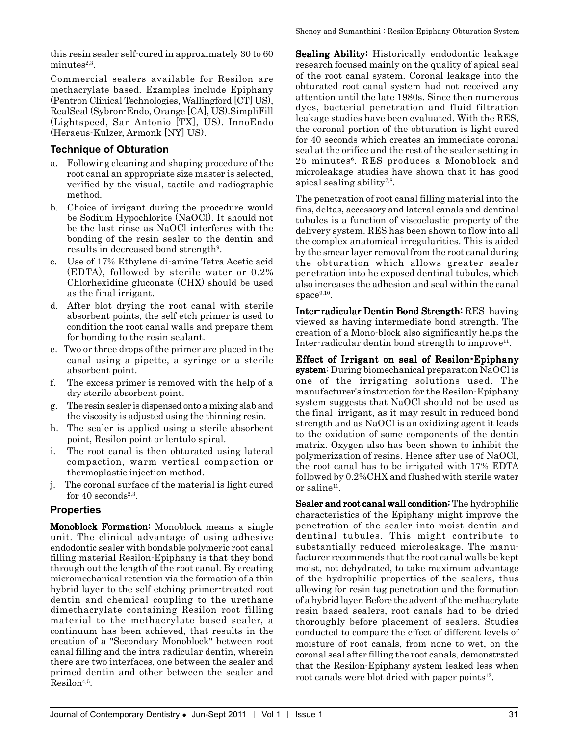this resin sealer self-cured in approximately 30 to 60  $minutes<sup>2,3</sup>$ .

Commercial sealers available for Resilon are methacrylate based. Examples include Epiphany (Pentron Clinical Technologies, Wallingford [CT] US), RealSeal (Sybron-Endo, Orange [CA], US).SimpliFill (Lightspeed, San Antonio [TX], US). InnoEndo (Heraeus-Kulzer, Armonk [NY] US).

## **Technique of Obturation**

- a. Following cleaning and shaping procedure of the root canal an appropriate size master is selected, verified by the visual, tactile and radiographic method.
- b. Choice of irrigant during the procedure would be Sodium Hypochlorite (NaOCl). It should not be the last rinse as NaOCl interferes with the bonding of the resin sealer to the dentin and results in decreased bond strength<sup>9</sup>.
- c. Use of 17% Ethylene di-amine Tetra Acetic acid (EDTA), followed by sterile water or 0.2% Chlorhexidine gluconate (CHX) should be used as the final irrigant.
- d. After blot drying the root canal with sterile absorbent points, the self etch primer is used to condition the root canal walls and prepare them for bonding to the resin sealant.
- e. Two or three drops of the primer are placed in the canal using a pipette, a syringe or a sterile absorbent point.
- f. The excess primer is removed with the help of a dry sterile absorbent point.
- g. The resin sealer is dispensed onto a mixing slab and the viscosity is adjusted using the thinning resin.
- h. The sealer is applied using a sterile absorbent point, Resilon point or lentulo spiral.
- i. The root canal is then obturated using lateral compaction, warm vertical compaction or thermoplastic injection method.
- j. The coronal surface of the material is light cured for 40 seconds<sup>2,3</sup>.

# **Properties**

Monoblock Formation: Monoblock means a single unit. The clinical advantage of using adhesive endodontic sealer with bondable polymeric root canal filling material Resilon-Epiphany is that they bond through out the length of the root canal. By creating micromechanical retention via the formation of a thin hybrid layer to the self etching primer-treated root dentin and chemical coupling to the urethane dimethacrylate containing Resilon root filling material to the methacrylate based sealer, a continuum has been achieved, that results in the creation of a "Secondary Monoblock" between root canal filling and the intra radicular dentin, wherein there are two interfaces, one between the sealer and primed dentin and other between the sealer and  $Resilon<sup>4,5</sup>$ .

Sealing Ability: Historically endodontic leakage research focused mainly on the quality of apical seal of the root canal system. Coronal leakage into the obturated root canal system had not received any attention until the late 1980s. Since then numerous dyes, bacterial penetration and fluid filtration leakage studies have been evaluated. With the RES, the coronal portion of the obturation is light cured for 40 seconds which creates an immediate coronal seal at the orifice and the rest of the sealer setting in 25 minutes6. RES produces a Monoblock and microleakage studies have shown that it has good apical sealing ability7,8.

The penetration of root canal filling material into the fins, deltas, accessory and lateral canals and dentinal tubules is a function of viscoelastic property of the delivery system. RES has been shown to flow into all the complex anatomical irregularities. This is aided by the smear layer removal from the root canal during the obturation which allows greater sealer penetration into he exposed dentinal tubules, which also increases the adhesion and seal within the canal space $9,10$ .

Inter-radicular Dentin Bond Strength: RES having viewed as having intermediate bond strength. The creation of a Mono-block also significantly helps the Inter-radicular dentin bond strength to improve<sup>11</sup>.

Effect of Irrigant on seal of Resilon-Epiphany system: During biomechanical preparation NaOCl is one of the irrigating solutions used. The manufacturer's instruction for the Resilon-Epiphany system suggests that NaOCl should not be used as the final irrigant, as it may result in reduced bond strength and as NaOCl is an oxidizing agent it leads to the oxidation of some components of the dentin matrix. Oxygen also has been shown to inhibit the polymerization of resins. Hence after use of NaOCl, the root canal has to be irrigated with 17% EDTA followed by 0.2%CHX and flushed with sterile water or saline $11$ .

Sealer and root canal wall condition: The hydrophilic characteristics of the Epiphany might improve the penetration of the sealer into moist dentin and dentinal tubules. This might contribute to substantially reduced microleakage. The manufacturer recommends that the root canal walls be kept moist, not dehydrated, to take maximum advantage of the hydrophilic properties of the sealers, thus allowing for resin tag penetration and the formation of a hybrid layer. Before the advent of the methacrylate resin based sealers, root canals had to be dried thoroughly before placement of sealers. Studies conducted to compare the effect of different levels of moisture of root canals, from none to wet, on the coronal seal after filling the root canals, demonstrated that the Resilon-Epiphany system leaked less when root canals were blot dried with paper points<sup>12</sup>.